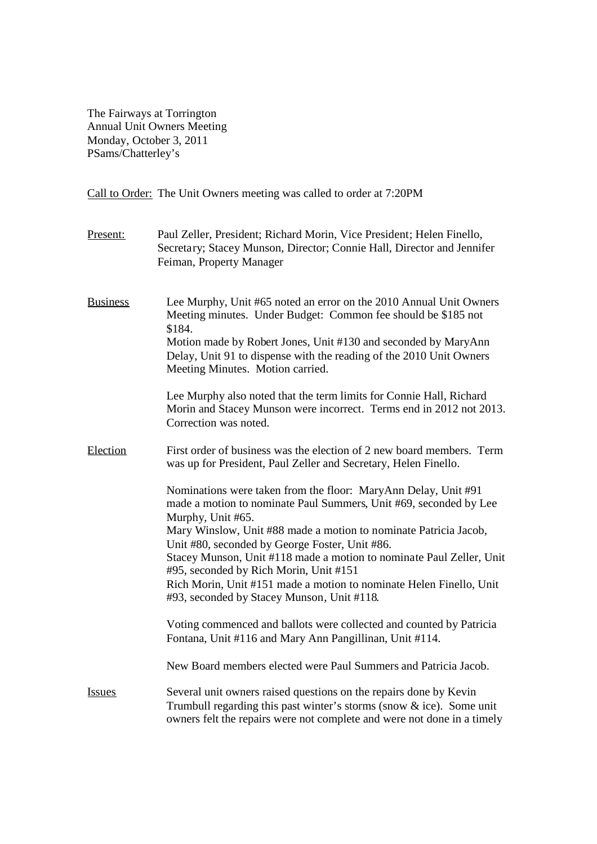The Fairways at Torrington Annual Unit Owners Meeting Monday, October 3, 2011 PSams/Chatterley's

Call to Order: The Unit Owners meeting was called to order at 7:20PM

| Present:        | Paul Zeller, President; Richard Morin, Vice President; Helen Finello,<br>Secretary; Stacey Munson, Director; Connie Hall, Director and Jennifer<br>Feiman, Property Manager                                                                                                                                                |
|-----------------|----------------------------------------------------------------------------------------------------------------------------------------------------------------------------------------------------------------------------------------------------------------------------------------------------------------------------|
| <b>Business</b> | Lee Murphy, Unit #65 noted an error on the 2010 Annual Unit Owners<br>Meeting minutes. Under Budget: Common fee should be \$185 not<br>\$184.<br>Motion made by Robert Jones, Unit #130 and seconded by MaryAnn<br>Delay, Unit 91 to dispense with the reading of the 2010 Unit Owners<br>Meeting Minutes. Motion carried. |
|                 | Lee Murphy also noted that the term limits for Connie Hall, Richard<br>Morin and Stacey Munson were incorrect. Terms end in 2012 not 2013.<br>Correction was noted.                                                                                                                                                        |
| Election        | First order of business was the election of 2 new board members. Term<br>was up for President, Paul Zeller and Secretary, Helen Finello.                                                                                                                                                                                   |
|                 | Nominations were taken from the floor: MaryAnn Delay, Unit #91<br>made a motion to nominate Paul Summers, Unit #69, seconded by Lee<br>Murphy, Unit #65.<br>Mary Winslow, Unit #88 made a motion to nominate Patricia Jacob,                                                                                               |
|                 | Unit #80, seconded by George Foster, Unit #86.<br>Stacey Munson, Unit #118 made a motion to nominate Paul Zeller, Unit                                                                                                                                                                                                     |
|                 | #95, seconded by Rich Morin, Unit #151<br>Rich Morin, Unit #151 made a motion to nominate Helen Finello, Unit<br>#93, seconded by Stacey Munson, Unit #118.                                                                                                                                                                |
|                 | Voting commenced and ballots were collected and counted by Patricia<br>Fontana, Unit #116 and Mary Ann Pangillinan, Unit #114.                                                                                                                                                                                             |
|                 | New Board members elected were Paul Summers and Patricia Jacob.                                                                                                                                                                                                                                                            |
| Issues          | Several unit owners raised questions on the repairs done by Kevin<br>Trumbull regarding this past winter's storms (snow $&$ ice). Some unit<br>owners felt the repairs were not complete and were not done in a timely                                                                                                     |